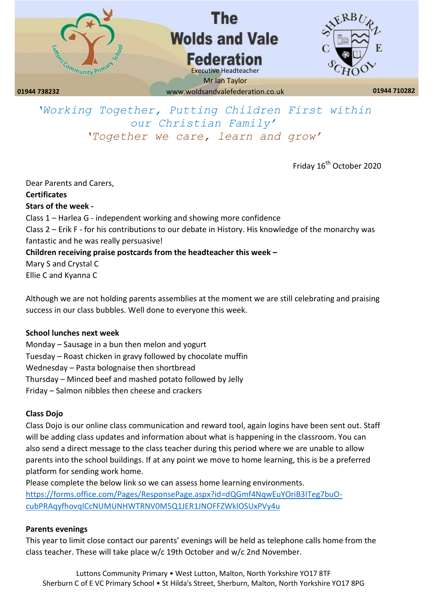

*'Working Together, Putting Children First within our Christian Family' 'Together we care, learn and grow'*

Friday 16<sup>th</sup> October 2020

Dear Parents and Carers, **Certificates Stars of the week -** Class 1 – Harlea G - independent working and showing more confidence Class 2 – Erik F - for his contributions to our debate in History. His knowledge of the monarchy was fantastic and he was really persuasive! **Children receiving praise postcards from the headteacher this week –** Mary S and Crystal C Ellie C and Kyanna C

Although we are not holding parents assemblies at the moment we are still celebrating and praising success in our class bubbles. Well done to everyone this week.

## **School lunches next week**

Monday – Sausage in a bun then melon and yogurt Tuesday – Roast chicken in gravy followed by chocolate muffin Wednesday – Pasta bolognaise then shortbread Thursday – Minced beef and mashed potato followed by Jelly Friday – Salmon nibbles then cheese and crackers

#### **Class Dojo**

Class Dojo is our online class communication and reward tool, again logins have been sent out. Staff will be adding class updates and information about what is happening in the classroom. You can also send a direct message to the class teacher during this period where we are unable to allow parents into the school buildings. If at any point we move to home learning, this is be a preferred platform for sending work home.

Please complete the below link so we can assess home learning environments. [https://forms.office.com/Pages/ResponsePage.aspx?id=dQGmf4NqwEuYOriB3ITeg7buO](https://forms.office.com/Pages/ResponsePage.aspx?id=dQGmf4NqwEuYOriB3ITeg7buO-cubPRAqyfhovqICcNUMUNHWTRNV0M5Q1JER1JNOFFZWklOSUxPVy4u)[cubPRAqyfhovqICcNUMUNHWTRNV0M5Q1JER1JNOFFZWklOSUxPVy4u](https://forms.office.com/Pages/ResponsePage.aspx?id=dQGmf4NqwEuYOriB3ITeg7buO-cubPRAqyfhovqICcNUMUNHWTRNV0M5Q1JER1JNOFFZWklOSUxPVy4u)

#### **Parents evenings**

This year to limit close contact our parents' evenings will be held as telephone calls home from the class teacher. These will take place w/c 19th October and w/c 2nd November.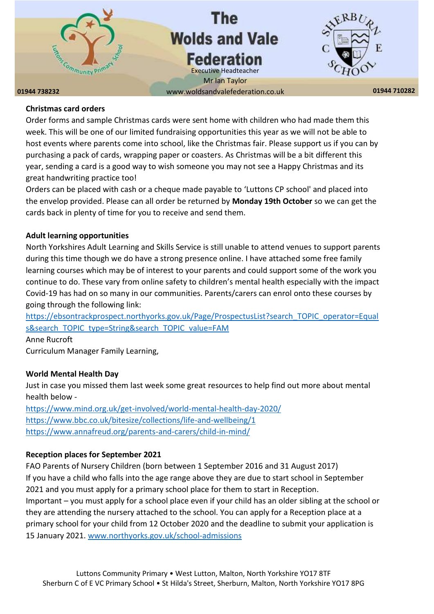

## **Christmas card orders**

Order forms and sample Christmas cards were sent home with children who had made them this week. This will be one of our limited fundraising opportunities this year as we will not be able to host events where parents come into school, like the Christmas fair. Please support us if you can by purchasing a pack of cards, wrapping paper or coasters. As Christmas will be a bit different this year, sending a card is a good way to wish someone you may not see a Happy Christmas and its great handwriting practice too!

Orders can be placed with cash or a cheque made payable to 'Luttons CP school' and placed into the envelop provided. Please can all order be returned by **Monday 19th October** so we can get the cards back in plenty of time for you to receive and send them.

## **Adult learning opportunities**

North Yorkshires Adult Learning and Skills Service is still unable to attend venues to support parents during this time though we do have a strong presence online. I have attached some free family learning courses which may be of interest to your parents and could support some of the work you continue to do. These vary from online safety to children's mental health especially with the impact Covid-19 has had on so many in our communities. Parents/carers can enrol onto these courses by going through the following link:

[https://ebsontrackprospect.northyorks.gov.uk/Page/ProspectusList?search\\_TOPIC\\_operator=Equal](https://ebsontrackprospect.northyorks.gov.uk/Page/ProspectusList?search_TOPIC_operator=Equals&search_TOPIC_type=String&search_TOPIC_value=FAM) [s&search\\_TOPIC\\_type=String&search\\_TOPIC\\_value=FAM](https://ebsontrackprospect.northyorks.gov.uk/Page/ProspectusList?search_TOPIC_operator=Equals&search_TOPIC_type=String&search_TOPIC_value=FAM)

Anne Rucroft Curriculum Manager Family Learning,

## **World Mental Health Day**

Just in case you missed them last week some great resources to help find out more about mental health below -

<https://www.mind.org.uk/get-involved/world-mental-health-day-2020/> <https://www.bbc.co.uk/bitesize/collections/life-and-wellbeing/1> <https://www.annafreud.org/parents-and-carers/child-in-mind/>

## **Reception places for September 2021**

FAO Parents of Nursery Children (born between 1 September 2016 and 31 August 2017) If you have a child who falls into the age range above they are due to start school in September 2021 and you must apply for a primary school place for them to start in Reception. Important – you must apply for a school place even if your child has an older sibling at the school or they are attending the nursery attached to the school. You can apply for a Reception place at a primary school for your child from 12 October 2020 and the deadline to submit your application is 15 January 2021. [www.northyorks.gov.uk/school-admissions](http://www.northyorks.gov.uk/school-admissions)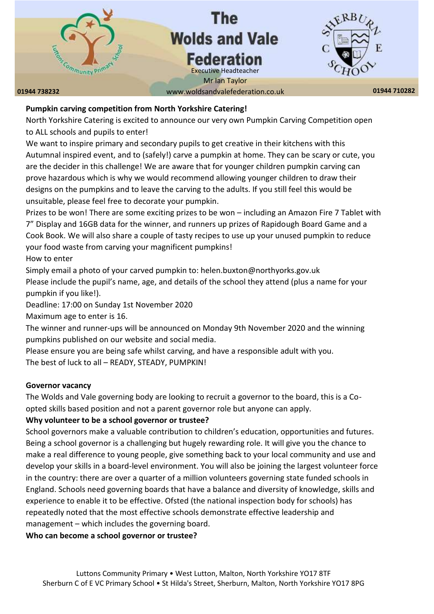# **The Wolds and Vale Federation**

**01944 738232 01944 710282** www.woldsandvalefederation.co.uk Executive Headteacher Mr Ian Taylor

**Ommunity Prim** 

## **Pumpkin carving competition from North Yorkshire Catering!**

North Yorkshire Catering is excited to announce our very own Pumpkin Carving Competition open to ALL schools and pupils to enter!

We want to inspire primary and secondary pupils to get creative in their kitchens with this Autumnal inspired event, and to (safely!) carve a pumpkin at home. They can be scary or cute, you are the decider in this challenge! We are aware that for younger children pumpkin carving can prove hazardous which is why we would recommend allowing younger children to draw their designs on the pumpkins and to leave the carving to the adults. If you still feel this would be unsuitable, please feel free to decorate your pumpkin.

Prizes to be won! There are some exciting prizes to be won – including an Amazon Fire 7 Tablet with 7" Display and 16GB data for the winner, and runners up prizes of Rapidough Board Game and a Cook Book. We will also share a couple of tasty recipes to use up your unused pumpkin to reduce your food waste from carving your magnificent pumpkins!

How to enter

Simply email a photo of your carved pumpkin to: helen.buxton@northyorks.gov.uk Please include the pupil's name, age, and details of the school they attend (plus a name for your pumpkin if you like!).

Deadline: 17:00 on Sunday 1st November 2020

Maximum age to enter is 16.

The winner and runner-ups will be announced on Monday 9th November 2020 and the winning pumpkins published on our website and social media.

Please ensure you are being safe whilst carving, and have a responsible adult with you. The best of luck to all – READY, STEADY, PUMPKIN!

## **Governor vacancy**

The Wolds and Vale governing body are looking to recruit a governor to the board, this is a Coopted skills based position and not a parent governor role but anyone can apply.

# **Why volunteer to be a school governor or trustee?**

School governors make a valuable contribution to children's education, opportunities and futures. Being a school governor is a challenging but hugely rewarding role. It will give you the chance to make a real difference to young people, give something back to your local community and use and develop your skills in a board-level environment. You will also be joining the largest volunteer force in the country: there are over a quarter of a million volunteers governing state funded schools in England. Schools need governing boards that have a balance and diversity of knowledge, skills and experience to enable it to be effective. Ofsted (the national inspection body for schools) has repeatedly noted that the most effective schools demonstrate effective leadership and management – which includes the governing board.

**Who can become a school governor or trustee?**